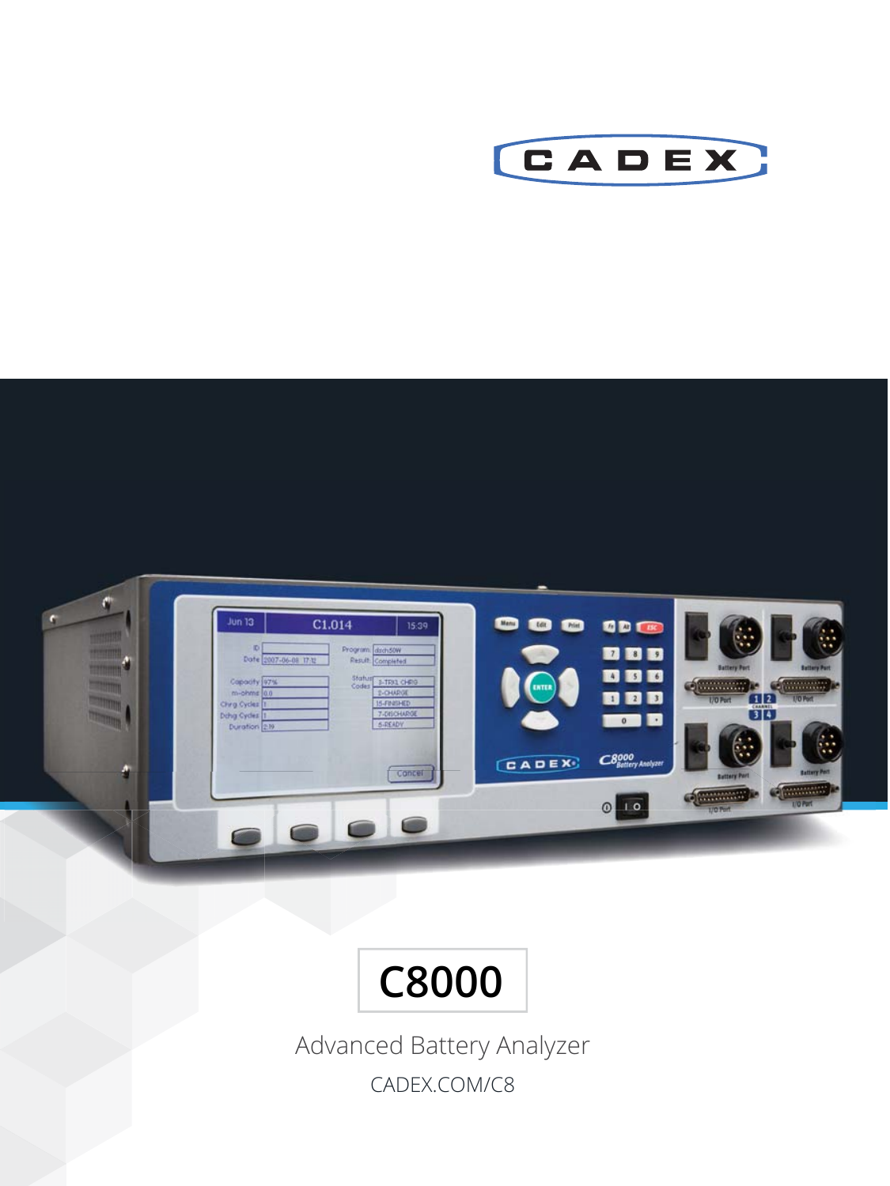





Advanced Battery Analyzer CADEX.COM/C8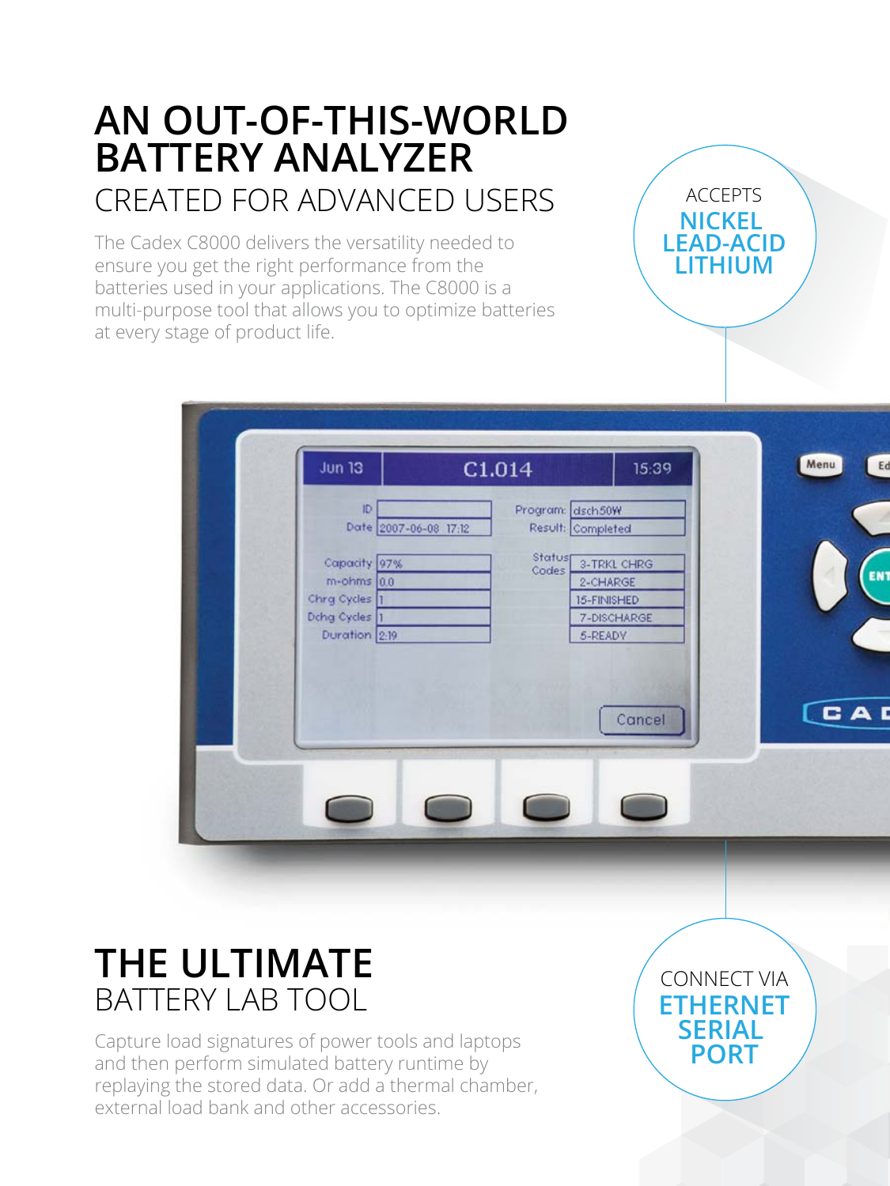# **AN OUT-OF-THIS-WORLD BATTERY ANALYZER** CREATED FOR ADVANCED USERS

The Cadex C8000 delivers the versatility needed to ensure you get the right performance from the batteries used in your applications. The C8000 is a multi-purpose tool that allows you to optimize batteries at every stage of product life.

| Program: dsch50W<br>ID<br>Date 2007-06-08 17:12<br>Result: Completed |
|----------------------------------------------------------------------|
|                                                                      |
| Statusp<br>Capacity <sup>97%</sup><br>3-TRKL CHRG<br>Codes           |
| $m$ -ohms $0.0$<br>2-CHARGE                                          |
| Chrg Cycles  1<br>15-FINISHED<br>Dchg Cycles 1<br>7-DISCHARGE        |
| Duration 2:19<br>5-READY                                             |
|                                                                      |
|                                                                      |
| Cancel                                                               |

# BATTERY LAB TOOL **THE ULTIMATE**

Capture load signatures of power tools and laptops and then perform simulated battery runtime by replaying the stored data. Or add a thermal chamber, external load bank and other accessories.

CONNECT VIA **ETHERNET SERIAL PORT**

ACCEPTS **NICKEL LEAD-ACID LITHIUM**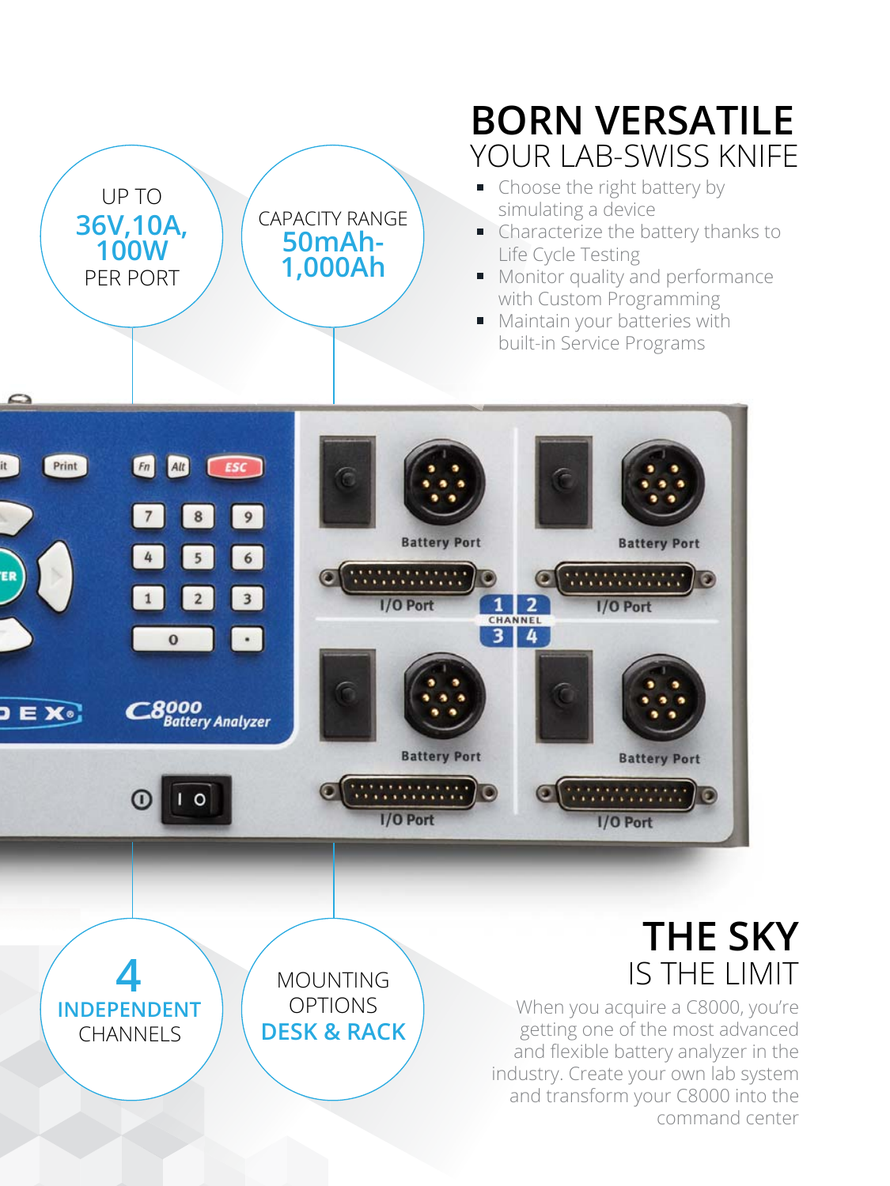

CHANNELS

**INDEPENDENT** 

# **BORN VERSATILE** YOUR LAB-SWISS KNIFF

- Choose the right battery by simulating a device
- Characterize the battery thanks to Life Cycle Testing
- Monitor quality and performance with Custom Programming
- **Maintain your batteries with** built-in Service Programs



OPTIONS **DESK & RACK**

When you acquire a C8000, you're getting one of the most advanced and flexible battery analyzer in the industry. Create your own lab system and transform your C8000 into the command center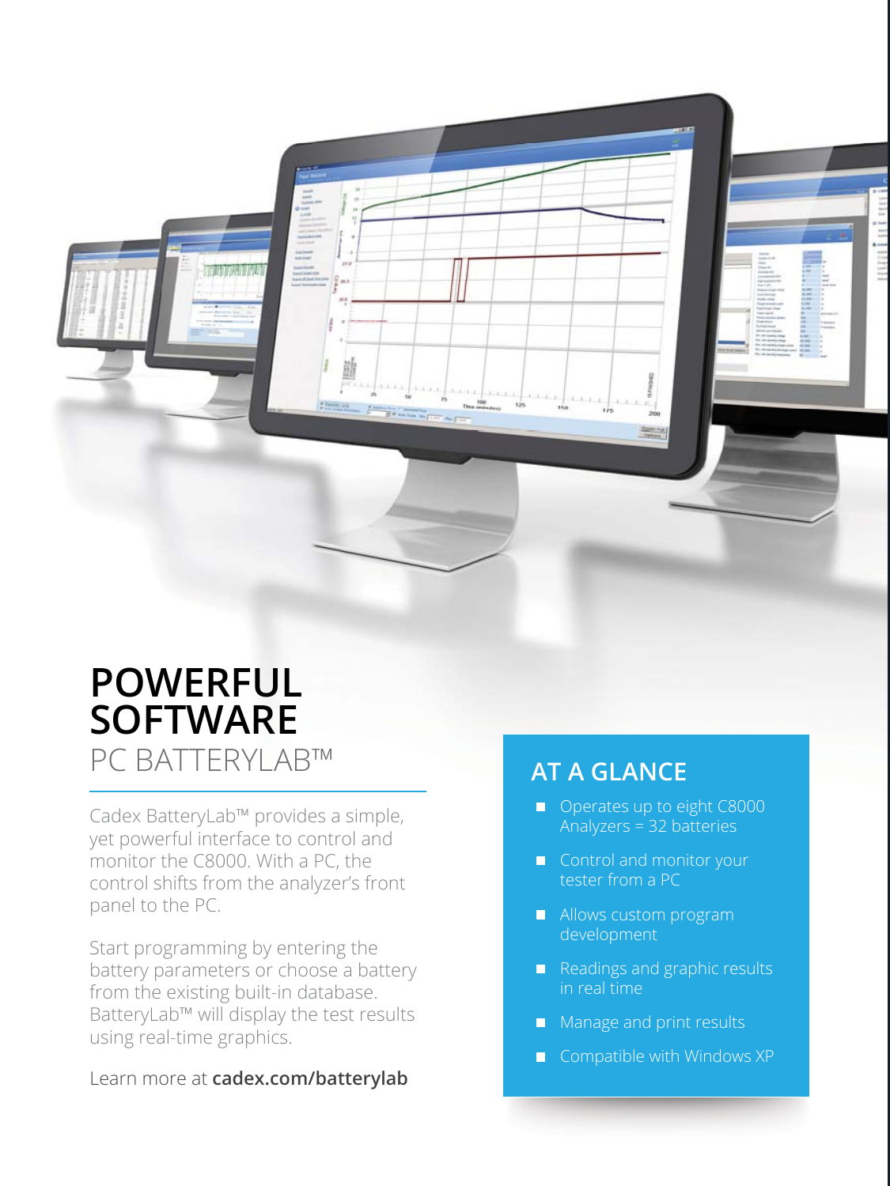

## PC BATTERYLAB™ **POWERFUL SOFTWARE**

Cadex BatteryLab™ provides a simple, yet powerful interface to control and monitor the C8000. With a PC, the control shifts from the analyzer's front panel to the PC.

Start programming by entering the battery parameters or choose a battery from the existing built-in database. BatteryLab™ will display the test results using real-time graphics.

### Learn more at **cadex.com/batterylab**

### **AT A GLANCE**

- Operates up to eight C8000 Analyzers = 32 batteries
- Control and monitor your tester from a PC
- **Allows custom program** development
- $\blacksquare$  Readings and graphic results in real time
- **Manage and print results**
- $\Box$  Compatible with Windows XP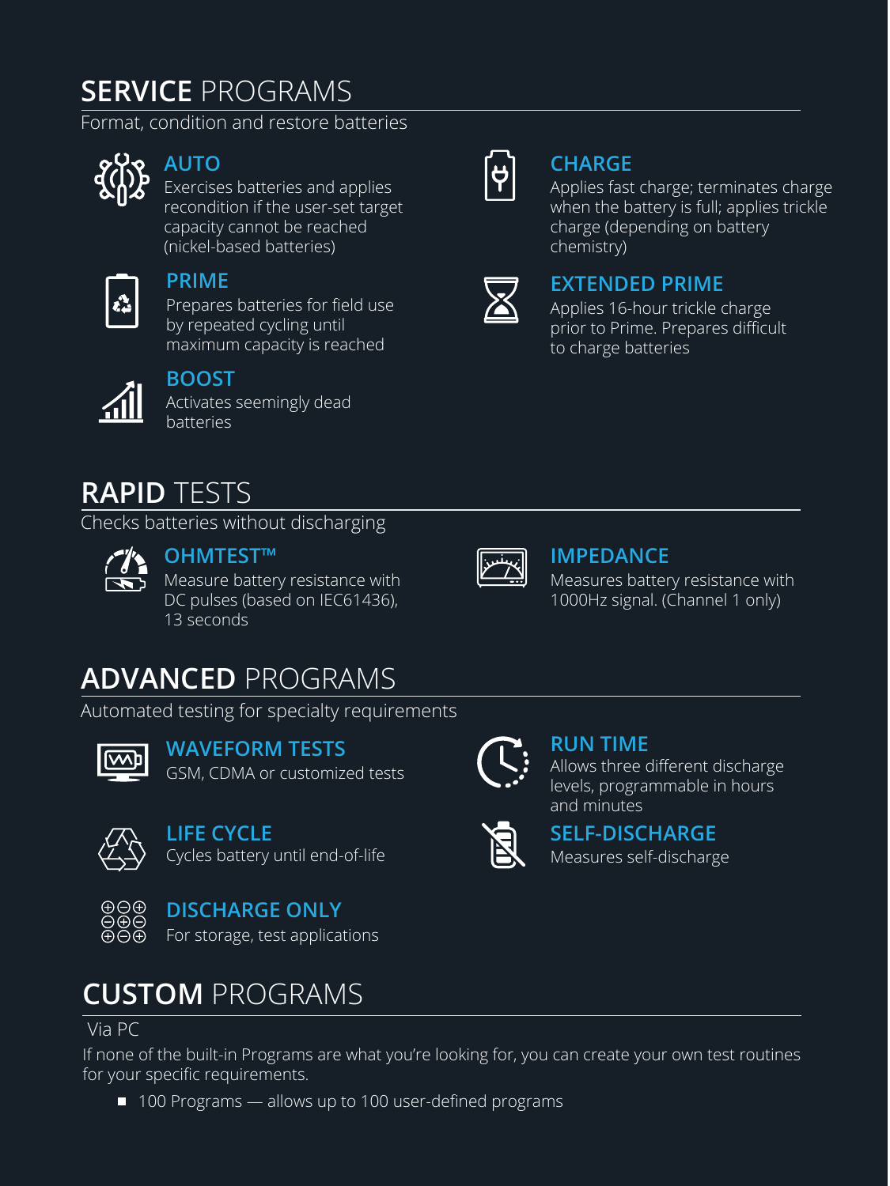## **SERVICE** PROGRAMS

Format, condition and restore batteries



### **AUTO**

Exercises batteries and applies recondition if the user-set target capacity cannot be reached (nickel-based batteries)



### **PRIME**

Prepares batteries for field use by repeated cycling until maximum capacity is reached



### **BOOST**

Activates seemingly dead batteries

## **RAPID** TESTS

Checks batteries without discharging



### **OHMTEST™**

Measure battery resistance with DC pulses (based on IEC61436), 13 seconds



### **IMPEDANCE**

Measures battery resistance with 1000Hz signal. (Channel 1 only)

# **ADVANCED** PROGRAMS

Automated testing for specialty requirements



GSM, CDMA or customized tests **WAVEFORM TESTS**



Cycles battery until end-of-life **LIFE CYCLE**



### **DISCHARGE ONLY**

For storage, test applications

## **CUSTOM** PROGRAMS

Via PC

If none of the built-in Programs are what you're looking for, you can create your own test routines for your specific requirements.

■ 100 Programs — allows up to 100 user-defined programs



### **CHARGE**

Applies fast charge; terminates charge when the battery is full; applies trickle charge (depending on battery chemistry)

### **EXTENDED PRIME**

Applies 16-hour trickle charge prior to Prime. Prepares difficult to charge batteries



### **RUN TIME**

Allows three different discharge levels, programmable in hours and minutes



Measures self-discharge **SELF-DISCHARGE**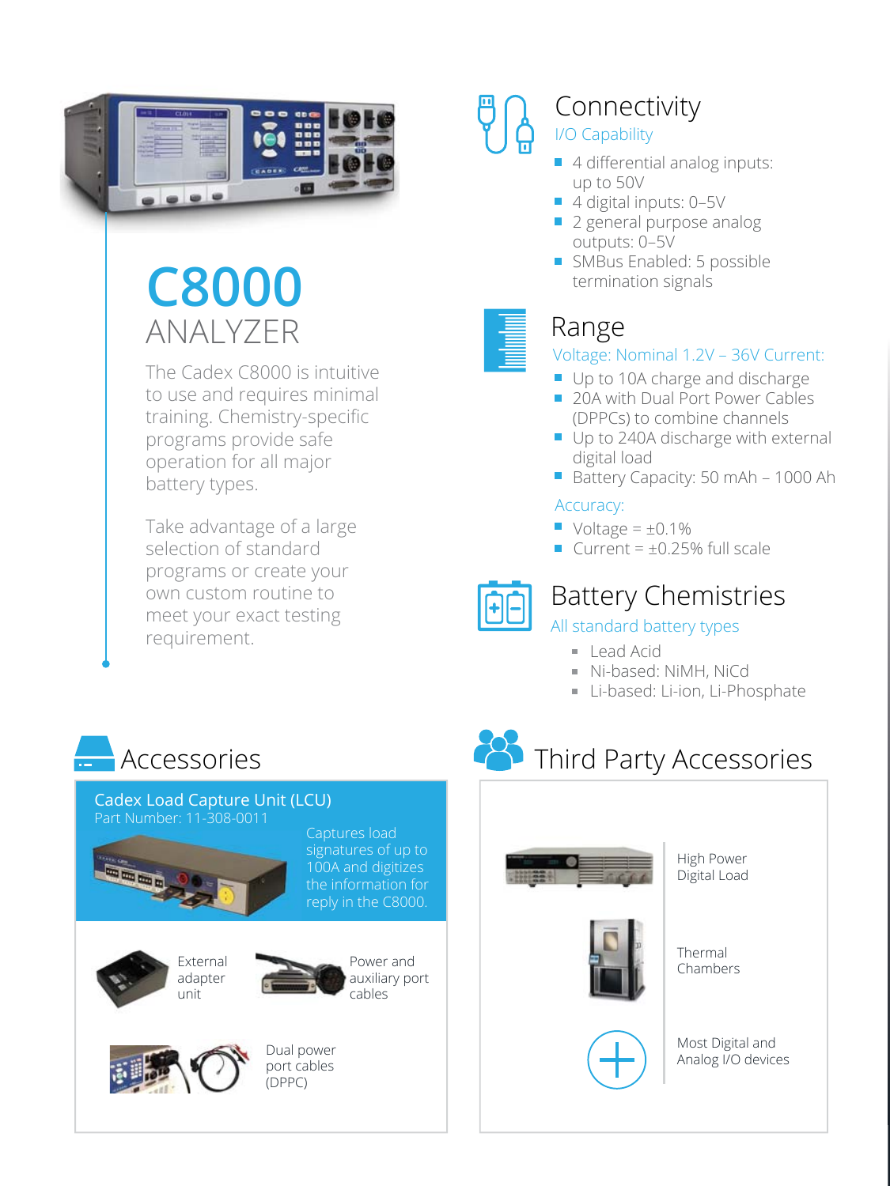

# **C8000**  ANALYZER

The Cadex C8000 is intuitive to use and requires minimal training. Chemistry-specific programs provide safe operation for all major battery types.

Take advantage of a large selection of standard programs or create your own custom routine to meet your exact testing requirement.

# Connectivity

### I/O Capability

- 4 differential analog inputs: up to 50V
- 4 digital inputs: 0-5V
- 2 general purpose analog outputs: 0–5V
- SMBus Enabled: 5 possible termination signals

# Range

### Voltage: Nominal 1.2V – 36V Current:

- Up to 10A charge and discharge
- 20A with Dual Port Power Cables (DPPCs) to combine channels
- Up to 240A discharge with external digital load
- Battery Capacity: 50 mAh 1000 Ah

### Accuracy:

- $\blacksquare$  Voltage =  $\pm 0.1\%$
- Current =  $\pm 0.25$ % full scale



## Battery Chemistries

### All standard battery types

**Third Party Accessories** 

- Lead Acid
- Ni-based: NiMH, NiCd
- Li-based: Li-ion, Li-Phosphate

# **Accessories**

#### Cadex Load Capture Unit (LCU) Part Number: 11-308-0011







Power and auxiliary port cables



High Power Digital Load





Chambers

Thermal

Most Digital and Analog I/O devices



unit

Dual power port cables  $(DPPC)$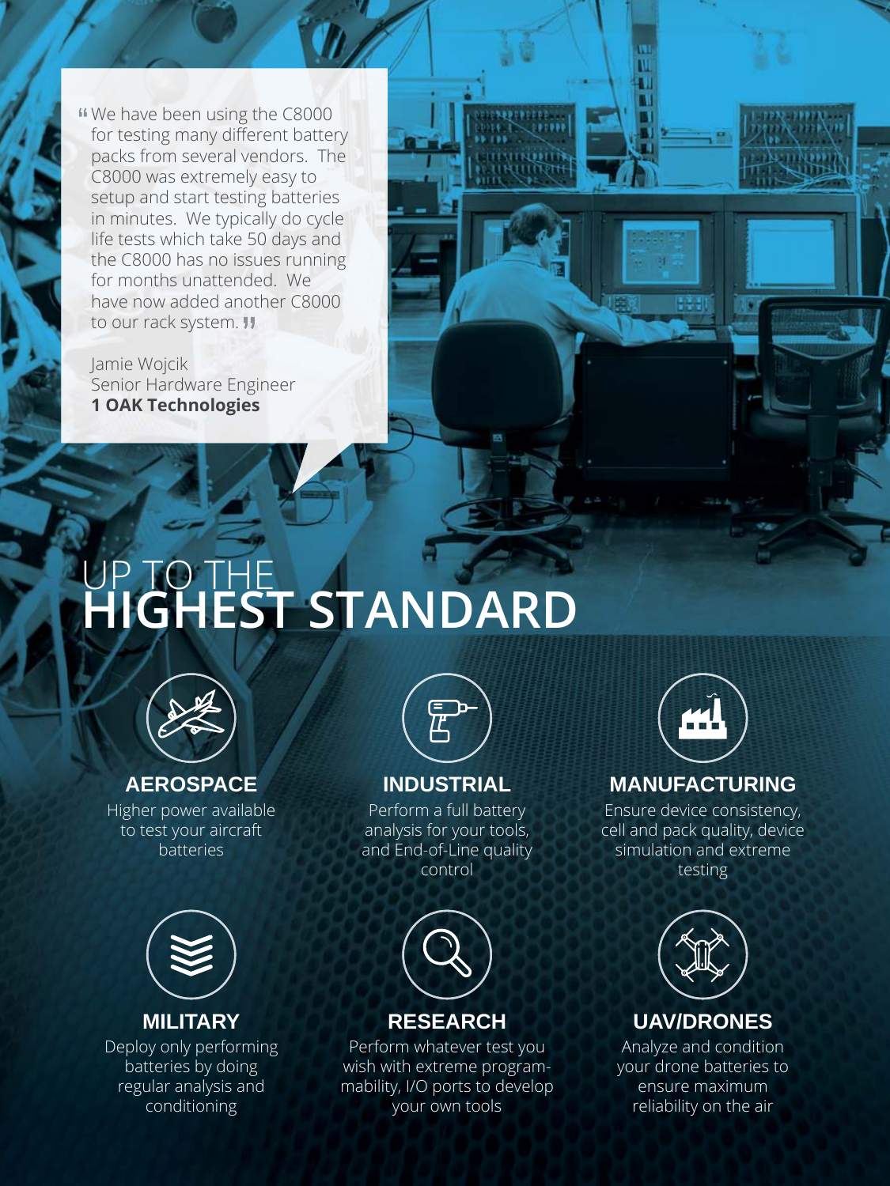We have been using the C8000 for testing many different battery packs from several vendors. The C8000 was extremely easy to setup and start testing batteries in minutes. We typically do cycle life tests which take 50 days and the C8000 has no issues running for months unattended. We have now added another C8000 to our rack system. **!!** 

Jamie Wojcik Senior Hardware Engineer **1 OAK Technologies**

# UP TO THE **HIGHEST STANDARD**



### **AEROSPACE**

Higher power available to test your aircraft batteries



**MILITARY**

Deploy only performing batteries by doing regular analysis and conditioning



### **INDUSTRIAL**

Perform a full battery analysis for your tools, and End-of-Line quality control



### **RESEARCH**

Perform whatever test you wish with extreme programmability, I/O ports to develop your own tools



### **MANUFACTURING**

Ensure device consistency, cell and pack quality, device simulation and extreme testing



### **UAV/DRONES**

Analyze and condition your drone batteries to ensure maximum reliability on the air